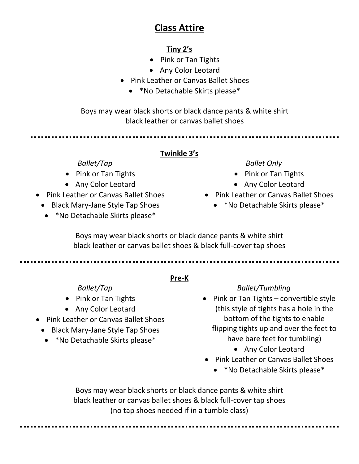# **Class Attire**

### **Tiny 2's**

- Pink or Tan Tights
- Any Color Leotard
- Pink Leather or Canvas Ballet Shoes
	- \*No Detachable Skirts please\*

Boys may wear black shorts or black dance pants & white shirt black leather or canvas ballet shoes

#### **Twinkle 3's**

### *Ballet/Tap*

- Pink or Tan Tights
- Any Color Leotard
- Pink Leather or Canvas Ballet Shoes
- Black Mary-Jane Style Tap Shoes
	- \*No Detachable Skirts please\*

# *Ballet Only*

- Pink or Tan Tights
- Any Color Leotard
- Pink Leather or Canvas Ballet Shoes
	- \*No Detachable Skirts please\*

Boys may wear black shorts or black dance pants & white shirt black leather or canvas ballet shoes & black full-cover tap shoes

**Pre-K**

### *Ballet/Tap*

- Pink or Tan Tights
- Any Color Leotard
- Pink Leather or Canvas Ballet Shoes
	- Black Mary-Jane Style Tap Shoes
	- \*No Detachable Skirts please\*

### *Ballet/Tumbling*

- Pink or Tan Tights convertible style (this style of tights has a hole in the bottom of the tights to enable flipping tights up and over the feet to have bare feet for tumbling)
	- Any Color Leotard
- Pink Leather or Canvas Ballet Shoes
	- \*No Detachable Skirts please\*

Boys may wear black shorts or black dance pants & white shirt black leather or canvas ballet shoes & black full-cover tap shoes (no tap shoes needed if in a tumble class)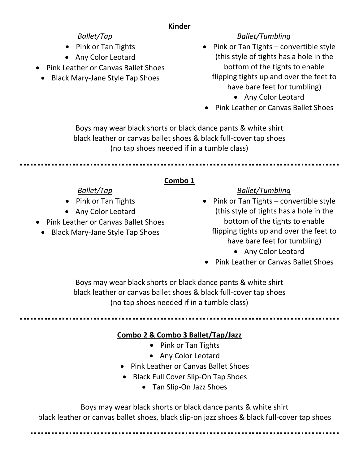### **Kinder**

# *Ballet/Tap*

- Pink or Tan Tights
- Any Color Leotard
- Pink Leather or Canvas Ballet Shoes
- Black Mary-Jane Style Tap Shoes

# *Ballet/Tumbling*

- Pink or Tan Tights convertible style (this style of tights has a hole in the bottom of the tights to enable flipping tights up and over the feet to have bare feet for tumbling)
	- Any Color Leotard
- Pink Leather or Canvas Ballet Shoes

Boys may wear black shorts or black dance pants & white shirt black leather or canvas ballet shoes & black full-cover tap shoes (no tap shoes needed if in a tumble class)

# **Combo 1**

# *Ballet/Tap*

- Pink or Tan Tights
- Any Color Leotard
- Pink Leather or Canvas Ballet Shoes
- Black Mary-Jane Style Tap Shoes

### *Ballet/Tumbling*

- Pink or Tan Tights convertible style (this style of tights has a hole in the bottom of the tights to enable flipping tights up and over the feet to have bare feet for tumbling)
	- Any Color Leotard
- Pink Leather or Canvas Ballet Shoes

Boys may wear black shorts or black dance pants & white shirt black leather or canvas ballet shoes & black full-cover tap shoes (no tap shoes needed if in a tumble class)

# **Combo 2 & Combo 3 Ballet/Tap/Jazz**

- Pink or Tan Tights
- Any Color Leotard
- Pink Leather or Canvas Ballet Shoes
- Black Full Cover Slip-On Tap Shoes
	- Tan Slip-On Jazz Shoes

Boys may wear black shorts or black dance pants & white shirt black leather or canvas ballet shoes, black slip-on jazz shoes & black full-cover tap shoes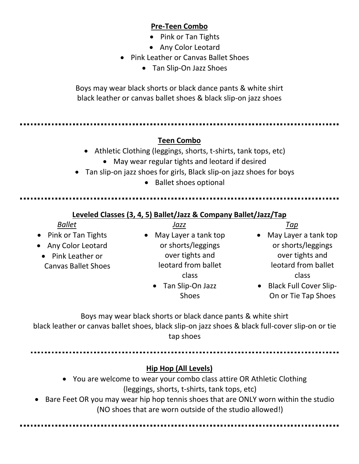### **Pre-Teen Combo**

- Pink or Tan Tights
- Any Color Leotard
- Pink Leather or Canvas Ballet Shoes
	- Tan Slip-On Jazz Shoes

Boys may wear black shorts or black dance pants & white shirt black leather or canvas ballet shoes & black slip-on jazz shoes

#### **Teen Combo**

- Athletic Clothing (leggings, shorts, t-shirts, tank tops, etc)
	- May wear regular tights and leotard if desired
- Tan slip-on jazz shoes for girls, Black slip-on jazz shoes for boys
	- Ballet shoes optional

#### **Leveled Classes (3, 4, 5) Ballet/Jazz & Company Ballet/Jazz/Tap**

| <b>Ballet</b>              | Jazz                   | Tap                                        |
|----------------------------|------------------------|--------------------------------------------|
| • Pink or Tan Tights       | • May Layer a tank top | May Layer a tank top<br>$\bullet$          |
| • Any Color Leotard        | or shorts/leggings     | or shorts/leggings                         |
| • Pink Leather or          | over tights and        | over tights and                            |
| <b>Canvas Ballet Shoes</b> | leotard from ballet    | leotard from ballet                        |
|                            | class                  | class                                      |
|                            | • Tan Slip-On Jazz     | <b>Black Full Cover Slip-</b><br>$\bullet$ |
|                            | <b>Shoes</b>           | On or Tie Tap Shoes                        |

On or Tie Tap Shoes

Boys may wear black shorts or black dance pants & white shirt black leather or canvas ballet shoes, black slip-on jazz shoes & black full-cover slip-on or tie tap shoes

#### **Hip Hop (All Levels)**

- You are welcome to wear your combo class attire OR Athletic Clothing (leggings, shorts, t-shirts, tank tops, etc)
- Bare Feet OR you may wear hip hop tennis shoes that are ONLY worn within the studio (NO shoes that are worn outside of the studio allowed!)